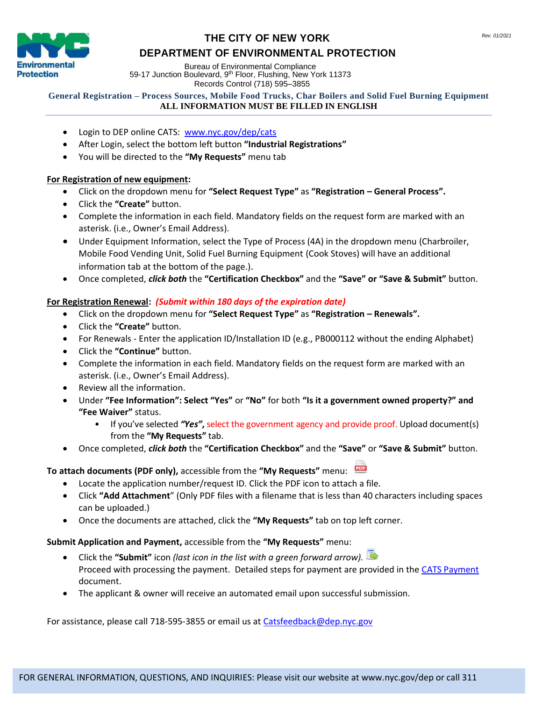

## **THE CITY OF NEW YORK Rev. 01/2021 DEPARTMENT OF ENVIRONMENTAL PROTECTION**

Bureau of Environmental Compliance 59-17 Junction Boulevard, 9<sup>th</sup> Floor, Flushing, New York 11373 Records Control (718) 595–3855

#### **General Registration – Process Sources, Mobile Food Trucks, Char Boilers and Solid Fuel Burning Equipment ALL INFORMATION MUST BE FILLED IN ENGLISH**

- Login to DEP online CATS: [www.nyc.gov/dep/cats](http://www.nyc.gov/dep/cats)
- After Login, select the bottom left button **"Industrial Registrations"**
- You will be directed to the **"My Requests"** menu tab

#### **For Registration of new equipment:**

- Click on the dropdown menu for **"Select Request Type"** as **"Registration – General Process".**
- Click the **"Create"** button.
- Complete the information in each field. Mandatory fields on the request form are marked with an asterisk. (i.e., Owner's Email Address).
- Under Equipment Information, select the Type of Process (4A) in the dropdown menu (Charbroiler, Mobile Food Vending Unit, Solid Fuel Burning Equipment (Cook Stoves) will have an additional information tab at the bottom of the page.).
- Once completed, *click both* the **"Certification Checkbox"** and the **"Save" or "Save & Submit"** button.

## **For Registration Renewal:** *(Submit within 180 days of the expiration date)*

- Click on the dropdown menu for **"Select Request Type"** as **"Registration – Renewals".**
- Click the **"Create"** button.
- For Renewals Enter the application ID/Installation ID (e.g., PB000112 without the ending Alphabet)
- Click the **"Continue"** button.
- Complete the information in each field. Mandatory fields on the request form are marked with an asterisk. (i.e., Owner's Email Address).
- Review all the information.
- Under **"Fee Information": Select "Yes"** or **"No"** for both **"Is it a government owned property?" and "Fee Waiver"** status.
	- If you've selected *"Yes"***,** select the government agency and provide proof. Upload document(s) from the **"My Requests"** tab.
- Once completed, *click both* the **"Certification Checkbox"** and the **"Save"** or **"Save & Submit"** button.

## **To attach documents (PDF only),** accessible from the **"My Requests"** menu:

- Locate the application number/request ID. Click the PDF icon to attach a file.
- Click **"Add Attachment**" (Only PDF files with a filename that is less than 40 characters including spaces can be uploaded.)
- Once the documents are attached, click the **"My Requests"** tab on top left corner.

#### **Submit Application and Payment,** accessible from the **"My Requests"** menu:

- Click the **"Submit"** icon *(last icon in the list with a green forward arrow).*  Proceed with processing the payment. Detailed steps for payment are provided in the [CATS Payment](http://www.nyc.gov/html/dep/pdf/air/cats-payment.pdf) document.
- The applicant & owner will receive an automated email upon successful submission.

For assistance, please call 718-595-3855 or email us at [Catsfeedback@dep.nyc.gov](mailto:Catsfeedback@dep.nyc.gov)